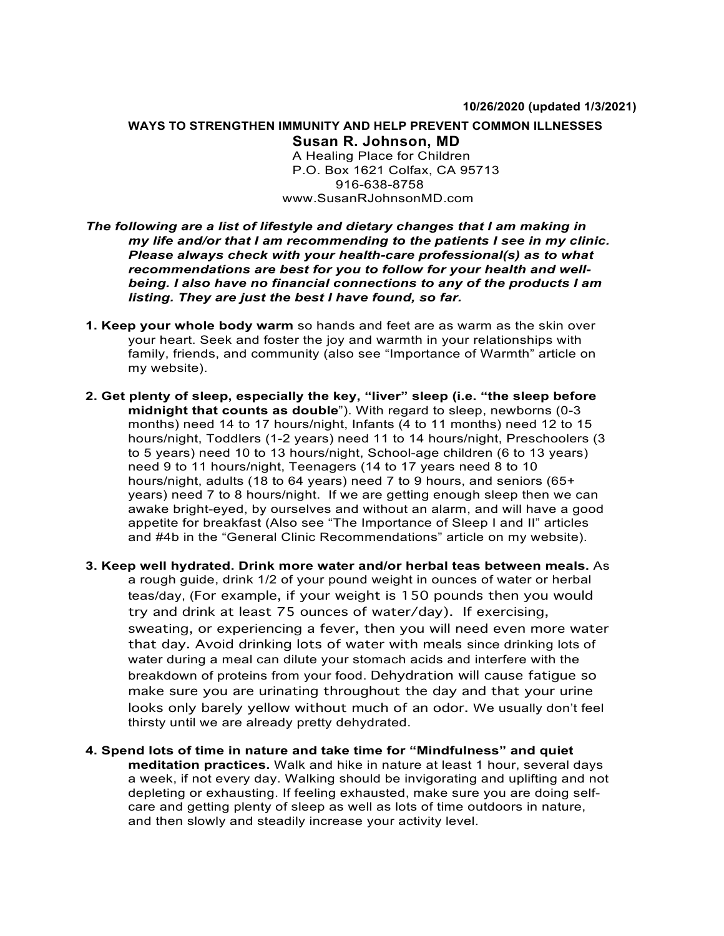# **WAYS TO STRENGTHEN IMMUNITY AND HELP PREVENT COMMON ILLNESSES Susan R. Johnson, MD**

A Healing Place for Children P.O. Box 1621 Colfax, CA 95713 916-638-8758 www.SusanRJohnsonMD.com

# *The following are a list of lifestyle and dietary changes that I am making in my life and/or that I am recommending to the patients I see in my clinic. Please always check with your health-care professional(s) as to what recommendations are best for you to follow for your health and wellbeing. I also have no financial connections to any of the products I am listing. They are just the best I have found, so far.*

- **1. Keep your whole body warm** so hands and feet are as warm as the skin over your heart. Seek and foster the joy and warmth in your relationships with family, friends, and community (also see "Importance of Warmth" article on my website).
- **2. Get plenty of sleep, especially the key, "liver" sleep (i.e. "the sleep before midnight that counts as double**"). With regard to sleep, newborns (0-3 months) need 14 to 17 hours/night, Infants (4 to 11 months) need 12 to 15 hours/night, Toddlers (1-2 years) need 11 to 14 hours/night, Preschoolers (3 to 5 years) need 10 to 13 hours/night, School-age children (6 to 13 years) need 9 to 11 hours/night, Teenagers (14 to 17 years need 8 to 10 hours/night, adults (18 to 64 years) need 7 to 9 hours, and seniors (65+ years) need 7 to 8 hours/night. If we are getting enough sleep then we can awake bright-eyed, by ourselves and without an alarm, and will have a good appetite for breakfast (Also see "The Importance of Sleep I and II" articles and #4b in the "General Clinic Recommendations" article on my website).
- **3. Keep well hydrated. Drink more water and/or herbal teas between meals.** As a rough guide, drink 1/2 of your pound weight in ounces of water or herbal teas/day, (For example, if your weight is 150 pounds then you would try and drink at least 75 ounces of water/day). If exercising, sweating, or experiencing a fever, then you will need even more water that day. Avoid drinking lots of water with meals since drinking lots of water during a meal can dilute your stomach acids and interfere with the breakdown of proteins from your food. Dehydration will cause fatigue so make sure you are urinating throughout the day and that your urine looks only barely yellow without much of an odor. We usually don't feel thirsty until we are already pretty dehydrated.
- **4. Spend lots of time in nature and take time for "Mindfulness" and quiet meditation practices.** Walk and hike in nature at least 1 hour, several days a week, if not every day. Walking should be invigorating and uplifting and not depleting or exhausting. If feeling exhausted, make sure you are doing selfcare and getting plenty of sleep as well as lots of time outdoors in nature, and then slowly and steadily increase your activity level.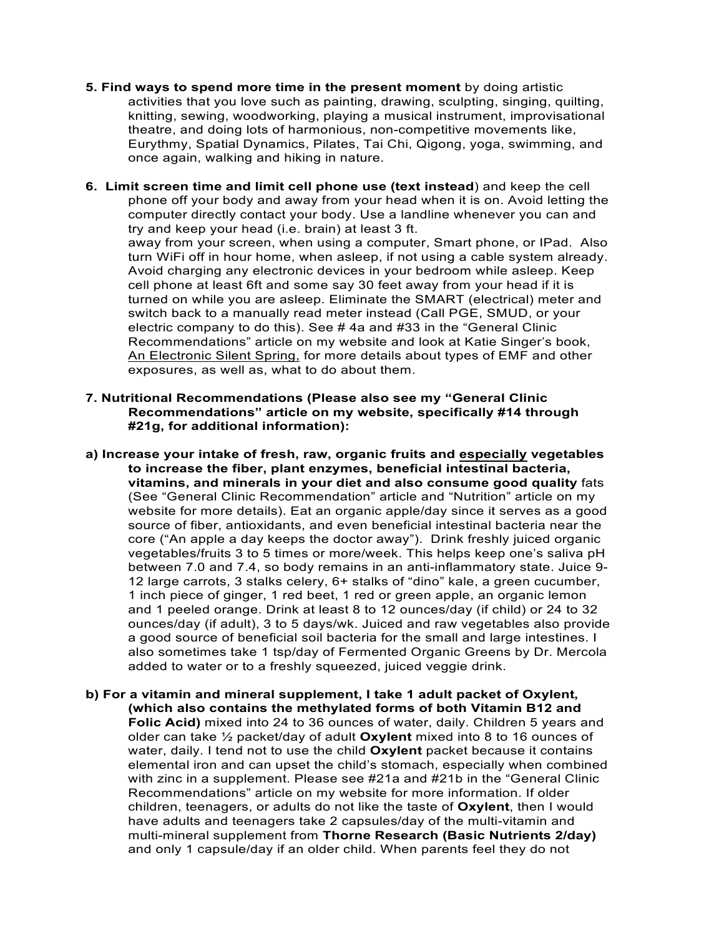- **5. Find ways to spend more time in the present moment** by doing artistic activities that you love such as painting, drawing, sculpting, singing, quilting, knitting, sewing, woodworking, playing a musical instrument, improvisational theatre, and doing lots of harmonious, non-competitive movements like, Eurythmy, Spatial Dynamics, Pilates, Tai Chi, Qigong, yoga, swimming, and once again, walking and hiking in nature.
- **6. Limit screen time and limit cell phone use (text instead**) and keep the cell phone off your body and away from your head when it is on. Avoid letting the computer directly contact your body. Use a landline whenever you can and try and keep your head (i.e. brain) at least 3 ft. away from your screen, when using a computer, Smart phone, or IPad. Also turn WiFi off in hour home, when asleep, if not using a cable system already. Avoid charging any electronic devices in your bedroom while asleep. Keep cell phone at least 6ft and some say 30 feet away from your head if it is turned on while you are asleep. Eliminate the SMART (electrical) meter and switch back to a manually read meter instead (Call PGE, SMUD, or your electric company to do this). See # 4a and #33 in the "General Clinic Recommendations" article on my website and look at Katie Singer's book, An Electronic Silent Spring, for more details about types of EMF and other exposures, as well as, what to do about them.
- **7. Nutritional Recommendations (Please also see my "General Clinic Recommendations" article on my website, specifically #14 through #21g, for additional information):**
- **a) Increase your intake of fresh, raw, organic fruits and especially vegetables to increase the fiber, plant enzymes, beneficial intestinal bacteria, vitamins, and minerals in your diet and also consume good quality** fats (See "General Clinic Recommendation" article and "Nutrition" article on my website for more details). Eat an organic apple/day since it serves as a good source of fiber, antioxidants, and even beneficial intestinal bacteria near the core ("An apple a day keeps the doctor away"). Drink freshly juiced organic vegetables/fruits 3 to 5 times or more/week. This helps keep one's saliva pH between 7.0 and 7.4, so body remains in an anti-inflammatory state. Juice 9- 12 large carrots, 3 stalks celery, 6+ stalks of "dino" kale, a green cucumber, 1 inch piece of ginger, 1 red beet, 1 red or green apple, an organic lemon and 1 peeled orange. Drink at least 8 to 12 ounces/day (if child) or 24 to 32 ounces/day (if adult), 3 to 5 days/wk. Juiced and raw vegetables also provide a good source of beneficial soil bacteria for the small and large intestines. I also sometimes take 1 tsp/day of Fermented Organic Greens by Dr. Mercola added to water or to a freshly squeezed, juiced veggie drink.
- **b) For a vitamin and mineral supplement, I take 1 adult packet of Oxylent, (which also contains the methylated forms of both Vitamin B12 and Folic Acid)** mixed into 24 to 36 ounces of water, daily. Children 5 years and older can take ½ packet/day of adult **Oxylent** mixed into 8 to 16 ounces of water, daily. I tend not to use the child **Oxylent** packet because it contains elemental iron and can upset the child's stomach, especially when combined with zinc in a supplement. Please see #21a and #21b in the "General Clinic Recommendations" article on my website for more information. If older children, teenagers, or adults do not like the taste of **Oxylent**, then I would have adults and teenagers take 2 capsules/day of the multi-vitamin and multi-mineral supplement from **Thorne Research (Basic Nutrients 2/day)** and only 1 capsule/day if an older child. When parents feel they do not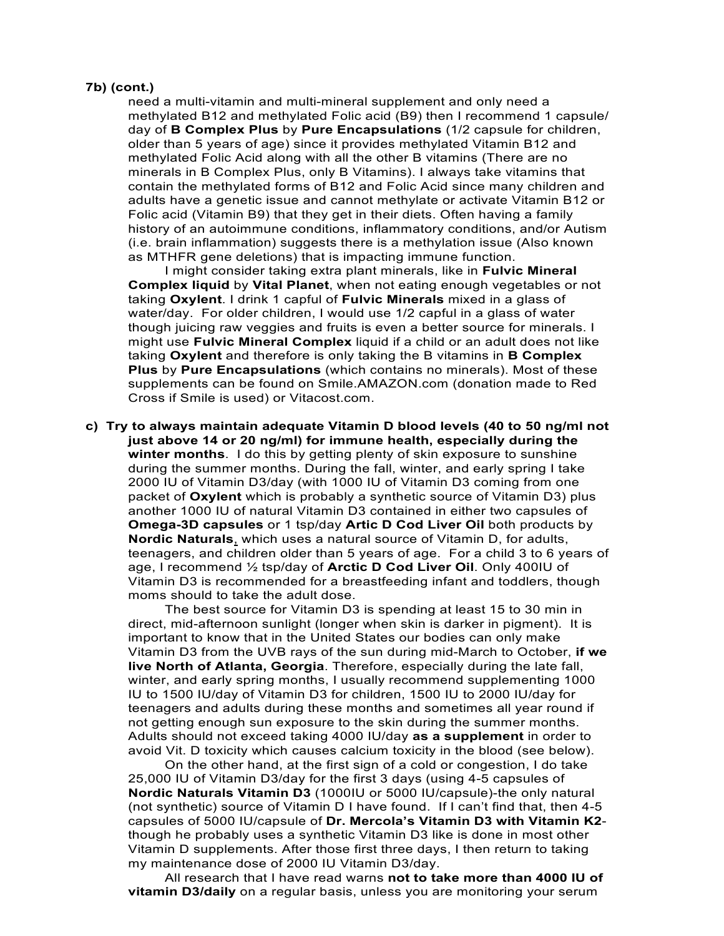#### **7b) (cont.)**

need a multi-vitamin and multi-mineral supplement and only need a methylated B12 and methylated Folic acid (B9) then I recommend 1 capsule/ day of **B Complex Plus** by **Pure Encapsulations** (1/2 capsule for children, older than 5 years of age) since it provides methylated Vitamin B12 and methylated Folic Acid along with all the other B vitamins (There are no minerals in B Complex Plus, only B Vitamins). I always take vitamins that contain the methylated forms of B12 and Folic Acid since many children and adults have a genetic issue and cannot methylate or activate Vitamin B12 or Folic acid (Vitamin B9) that they get in their diets. Often having a family history of an autoimmune conditions, inflammatory conditions, and/or Autism (i.e. brain inflammation) suggests there is a methylation issue (Also known as MTHFR gene deletions) that is impacting immune function.

I might consider taking extra plant minerals, like in **Fulvic Mineral Complex liquid** by **Vital Planet**, when not eating enough vegetables or not taking **Oxylent**. I drink 1 capful of **Fulvic Minerals** mixed in a glass of water/day. For older children, I would use 1/2 capful in a glass of water though juicing raw veggies and fruits is even a better source for minerals. I might use **Fulvic Mineral Complex** liquid if a child or an adult does not like taking **Oxylent** and therefore is only taking the B vitamins in **B Complex Plus** by **Pure Encapsulations** (which contains no minerals). Most of these supplements can be found on Smile.AMAZON.com (donation made to Red Cross if Smile is used) or Vitacost.com.

**c) Try to always maintain adequate Vitamin D blood levels (40 to 50 ng/ml not just above 14 or 20 ng/ml) for immune health, especially during the winter months**. I do this by getting plenty of skin exposure to sunshine during the summer months. During the fall, winter, and early spring I take 2000 IU of Vitamin D3/day (with 1000 IU of Vitamin D3 coming from one packet of **Oxylent** which is probably a synthetic source of Vitamin D3) plus another 1000 IU of natural Vitamin D3 contained in either two capsules of **Omega-3D capsules** or 1 tsp/day **Artic D Cod Liver Oil** both products by **Nordic Naturals**, which uses a natural source of Vitamin D, for adults, teenagers, and children older than 5 years of age. For a child 3 to 6 years of age, I recommend ½ tsp/day of **Arctic D Cod Liver Oil**. Only 400IU of Vitamin D3 is recommended for a breastfeeding infant and toddlers, though moms should to take the adult dose.

The best source for Vitamin D3 is spending at least 15 to 30 min in direct, mid-afternoon sunlight (longer when skin is darker in pigment). It is important to know that in the United States our bodies can only make Vitamin D3 from the UVB rays of the sun during mid-March to October, **if we live North of Atlanta, Georgia**. Therefore, especially during the late fall, winter, and early spring months, I usually recommend supplementing 1000 IU to 1500 IU/day of Vitamin D3 for children, 1500 IU to 2000 IU/day for teenagers and adults during these months and sometimes all year round if not getting enough sun exposure to the skin during the summer months. Adults should not exceed taking 4000 IU/day **as a supplement** in order to avoid Vit. D toxicity which causes calcium toxicity in the blood (see below).

On the other hand, at the first sign of a cold or congestion, I do take 25,000 IU of Vitamin D3/day for the first 3 days (using 4-5 capsules of **Nordic Naturals Vitamin D3** (1000IU or 5000 IU/capsule)-the only natural (not synthetic) source of Vitamin D I have found. If I can't find that, then 4-5 capsules of 5000 IU/capsule of **Dr. Mercola's Vitamin D3 with Vitamin K2** though he probably uses a synthetic Vitamin D3 like is done in most other Vitamin D supplements. After those first three days, I then return to taking my maintenance dose of 2000 IU Vitamin D3/day.

All research that I have read warns **not to take more than 4000 IU of vitamin D3/daily** on a regular basis, unless you are monitoring your serum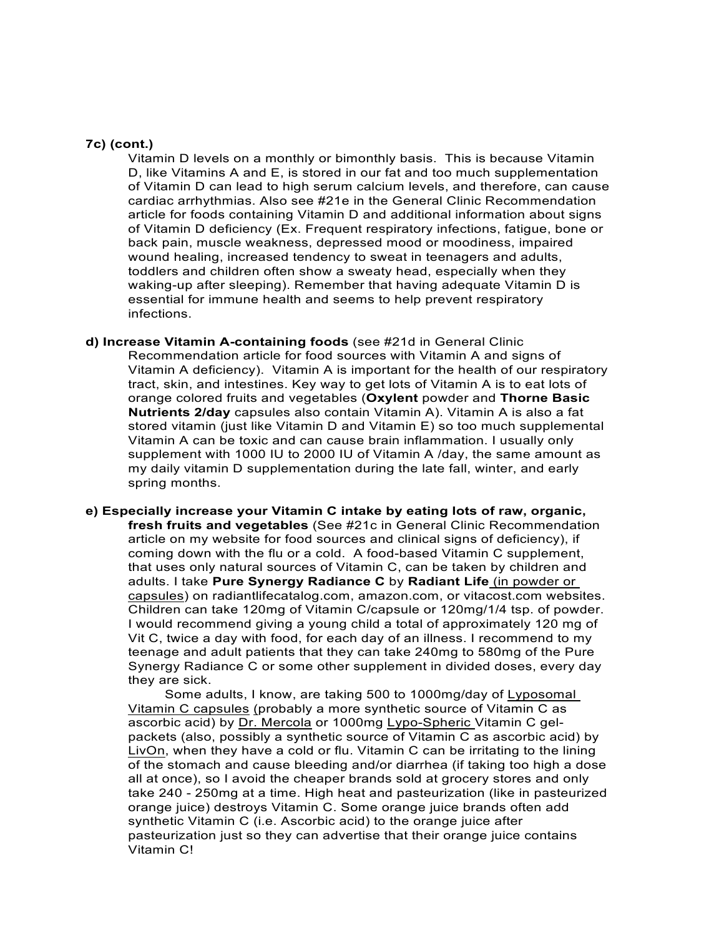### **7c) (cont.)**

Vitamin D levels on a monthly or bimonthly basis. This is because Vitamin D, like Vitamins A and E, is stored in our fat and too much supplementation of Vitamin D can lead to high serum calcium levels, and therefore, can cause cardiac arrhythmias. Also see #21e in the General Clinic Recommendation article for foods containing Vitamin D and additional information about signs of Vitamin D deficiency (Ex. Frequent respiratory infections, fatigue, bone or back pain, muscle weakness, depressed mood or moodiness, impaired wound healing, increased tendency to sweat in teenagers and adults, toddlers and children often show a sweaty head, especially when they waking-up after sleeping). Remember that having adequate Vitamin D is essential for immune health and seems to help prevent respiratory infections.

- **d) Increase Vitamin A-containing foods** (see #21d in General Clinic Recommendation article for food sources with Vitamin A and signs of Vitamin A deficiency). Vitamin A is important for the health of our respiratory tract, skin, and intestines. Key way to get lots of Vitamin A is to eat lots of orange colored fruits and vegetables (**Oxylent** powder and **Thorne Basic Nutrients 2/day** capsules also contain Vitamin A). Vitamin A is also a fat stored vitamin (just like Vitamin D and Vitamin E) so too much supplemental Vitamin A can be toxic and can cause brain inflammation. I usually only supplement with 1000 IU to 2000 IU of Vitamin A /day, the same amount as my daily vitamin D supplementation during the late fall, winter, and early spring months.
- **e) Especially increase your Vitamin C intake by eating lots of raw, organic, fresh fruits and vegetables** (See #21c in General Clinic Recommendation article on my website for food sources and clinical signs of deficiency), if coming down with the flu or a cold. A food-based Vitamin C supplement, that uses only natural sources of Vitamin C, can be taken by children and adults. I take **Pure Synergy Radiance C** by **Radiant Life** (in powder or capsules) on radiantlifecatalog.com, amazon.com, or vitacost.com websites. Children can take 120mg of Vitamin C/capsule or 120mg/1/4 tsp. of powder. I would recommend giving a young child a total of approximately 120 mg of Vit C, twice a day with food, for each day of an illness. I recommend to my teenage and adult patients that they can take 240mg to 580mg of the Pure Synergy Radiance C or some other supplement in divided doses, every day they are sick.

Some adults, I know, are taking 500 to 1000mg/day of Lyposomal Vitamin C capsules (probably a more synthetic source of Vitamin C as ascorbic acid) by Dr. Mercola or 1000mg Lypo-Spheric Vitamin C gelpackets (also, possibly a synthetic source of Vitamin C as ascorbic acid) by LivOn, when they have a cold or flu. Vitamin C can be irritating to the lining of the stomach and cause bleeding and/or diarrhea (if taking too high a dose all at once), so I avoid the cheaper brands sold at grocery stores and only take 240 - 250mg at a time. High heat and pasteurization (like in pasteurized orange juice) destroys Vitamin C. Some orange juice brands often add synthetic Vitamin C (i.e. Ascorbic acid) to the orange juice after pasteurization just so they can advertise that their orange juice contains Vitamin C!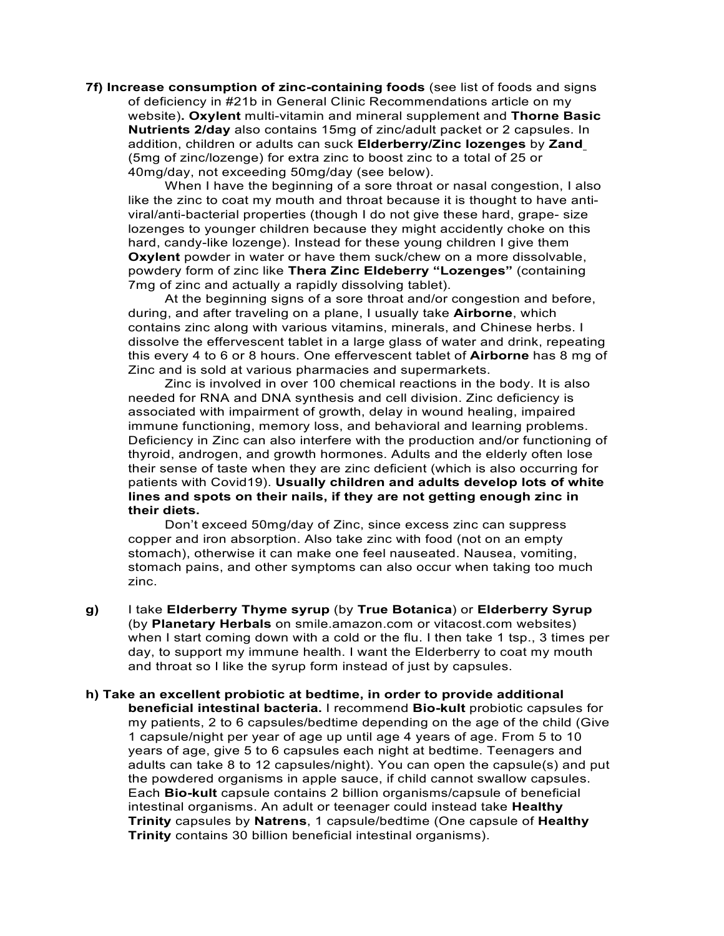**7f) Increase consumption of zinc-containing foods** (see list of foods and signs of deficiency in #21b in General Clinic Recommendations article on my website)**. Oxylent** multi-vitamin and mineral supplement and **Thorne Basic Nutrients 2/day** also contains 15mg of zinc/adult packet or 2 capsules. In addition, children or adults can suck **Elderberry/Zinc lozenges** by **Zand** (5mg of zinc/lozenge) for extra zinc to boost zinc to a total of 25 or 40mg/day, not exceeding 50mg/day (see below).

When I have the beginning of a sore throat or nasal congestion, I also like the zinc to coat my mouth and throat because it is thought to have antiviral/anti-bacterial properties (though I do not give these hard, grape- size lozenges to younger children because they might accidently choke on this hard, candy-like lozenge). Instead for these young children I give them **Oxylent** powder in water or have them suck/chew on a more dissolvable, powdery form of zinc like **Thera Zinc Eldeberry "Lozenges"** (containing 7mg of zinc and actually a rapidly dissolving tablet).

At the beginning signs of a sore throat and/or congestion and before, during, and after traveling on a plane, I usually take **Airborne**, which contains zinc along with various vitamins, minerals, and Chinese herbs. I dissolve the effervescent tablet in a large glass of water and drink, repeating this every 4 to 6 or 8 hours. One effervescent tablet of **Airborne** has 8 mg of Zinc and is sold at various pharmacies and supermarkets.

Zinc is involved in over 100 chemical reactions in the body. It is also needed for RNA and DNA synthesis and cell division. Zinc deficiency is associated with impairment of growth, delay in wound healing, impaired immune functioning, memory loss, and behavioral and learning problems. Deficiency in Zinc can also interfere with the production and/or functioning of thyroid, androgen, and growth hormones. Adults and the elderly often lose their sense of taste when they are zinc deficient (which is also occurring for patients with Covid19). **Usually children and adults develop lots of white lines and spots on their nails, if they are not getting enough zinc in their diets.** 

Don't exceed 50mg/day of Zinc, since excess zinc can suppress copper and iron absorption. Also take zinc with food (not on an empty stomach), otherwise it can make one feel nauseated. Nausea, vomiting, stomach pains, and other symptoms can also occur when taking too much zinc.

- **g)** I take **Elderberry Thyme syrup** (by **True Botanica**) or **Elderberry Syrup** (by **Planetary Herbals** on smile.amazon.com or vitacost.com websites) when I start coming down with a cold or the flu. I then take 1 tsp., 3 times per day, to support my immune health. I want the Elderberry to coat my mouth and throat so I like the syrup form instead of just by capsules.
- **h) Take an excellent probiotic at bedtime, in order to provide additional beneficial intestinal bacteria.** I recommend **Bio-kult** probiotic capsules for my patients, 2 to 6 capsules/bedtime depending on the age of the child (Give 1 capsule/night per year of age up until age 4 years of age. From 5 to 10 years of age, give 5 to 6 capsules each night at bedtime. Teenagers and adults can take 8 to 12 capsules/night). You can open the capsule(s) and put the powdered organisms in apple sauce, if child cannot swallow capsules. Each **Bio-kult** capsule contains 2 billion organisms/capsule of beneficial intestinal organisms. An adult or teenager could instead take **Healthy Trinity** capsules by **Natrens**, 1 capsule/bedtime (One capsule of **Healthy Trinity** contains 30 billion beneficial intestinal organisms).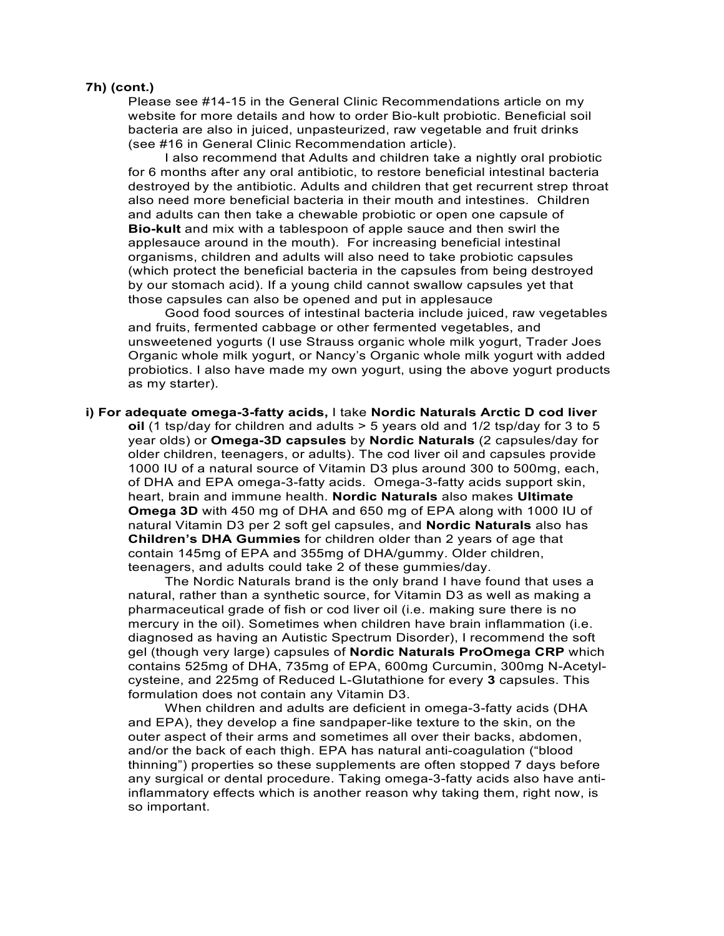#### **7h) (cont.)**

Please see #14-15 in the General Clinic Recommendations article on my website for more details and how to order Bio-kult probiotic. Beneficial soil bacteria are also in juiced, unpasteurized, raw vegetable and fruit drinks (see #16 in General Clinic Recommendation article).

I also recommend that Adults and children take a nightly oral probiotic for 6 months after any oral antibiotic, to restore beneficial intestinal bacteria destroyed by the antibiotic. Adults and children that get recurrent strep throat also need more beneficial bacteria in their mouth and intestines. Children and adults can then take a chewable probiotic or open one capsule of **Bio-kult** and mix with a tablespoon of apple sauce and then swirl the applesauce around in the mouth). For increasing beneficial intestinal organisms, children and adults will also need to take probiotic capsules (which protect the beneficial bacteria in the capsules from being destroyed by our stomach acid). If a young child cannot swallow capsules yet that those capsules can also be opened and put in applesauce

Good food sources of intestinal bacteria include juiced, raw vegetables and fruits, fermented cabbage or other fermented vegetables, and unsweetened yogurts (I use Strauss organic whole milk yogurt, Trader Joes Organic whole milk yogurt, or Nancy's Organic whole milk yogurt with added probiotics. I also have made my own yogurt, using the above yogurt products as my starter).

**i) For adequate omega-3-fatty acids,** I take **Nordic Naturals Arctic D cod liver oil** (1 tsp/day for children and adults > 5 years old and 1/2 tsp/day for 3 to 5 year olds) or **Omega-3D capsules** by **Nordic Naturals** (2 capsules/day for older children, teenagers, or adults). The cod liver oil and capsules provide 1000 IU of a natural source of Vitamin D3 plus around 300 to 500mg, each, of DHA and EPA omega-3-fatty acids. Omega-3-fatty acids support skin, heart, brain and immune health. **Nordic Naturals** also makes **Ultimate Omega 3D** with 450 mg of DHA and 650 mg of EPA along with 1000 IU of natural Vitamin D3 per 2 soft gel capsules, and **Nordic Naturals** also has **Children's DHA Gummies** for children older than 2 years of age that contain 145mg of EPA and 355mg of DHA/gummy. Older children, teenagers, and adults could take 2 of these gummies/day.

The Nordic Naturals brand is the only brand I have found that uses a natural, rather than a synthetic source, for Vitamin D3 as well as making a pharmaceutical grade of fish or cod liver oil (i.e. making sure there is no mercury in the oil). Sometimes when children have brain inflammation (i.e. diagnosed as having an Autistic Spectrum Disorder), I recommend the soft gel (though very large) capsules of **Nordic Naturals ProOmega CRP** which contains 525mg of DHA, 735mg of EPA, 600mg Curcumin, 300mg N-Acetylcysteine, and 225mg of Reduced L-Glutathione for every **3** capsules. This formulation does not contain any Vitamin D3.

When children and adults are deficient in omega-3-fatty acids (DHA and EPA), they develop a fine sandpaper-like texture to the skin, on the outer aspect of their arms and sometimes all over their backs, abdomen, and/or the back of each thigh. EPA has natural anti-coagulation ("blood thinning") properties so these supplements are often stopped 7 days before any surgical or dental procedure. Taking omega-3-fatty acids also have antiinflammatory effects which is another reason why taking them, right now, is so important.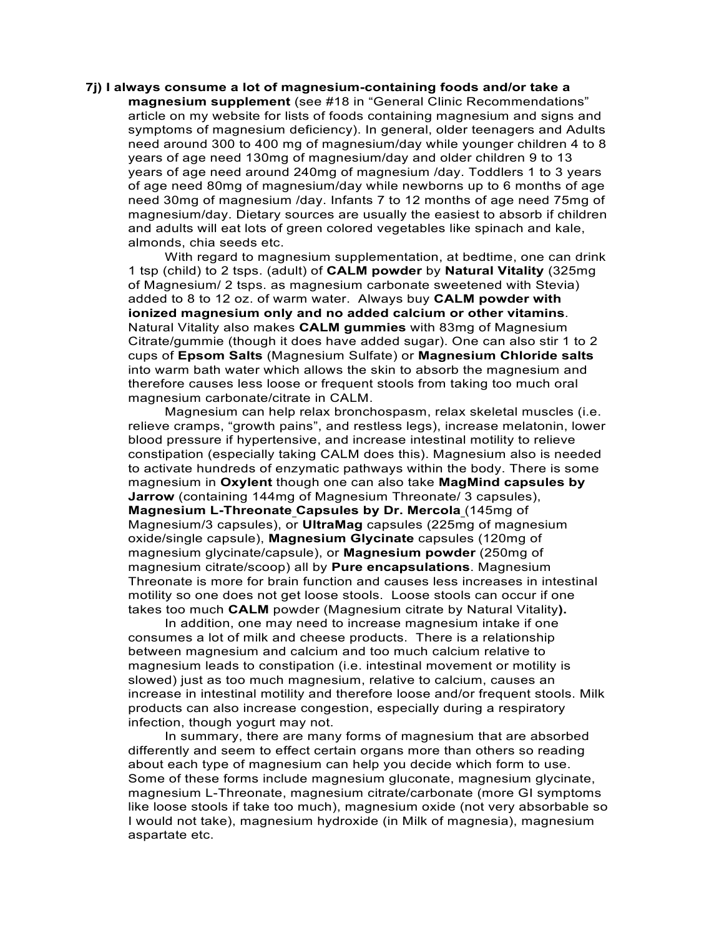# **7j) I always consume a lot of magnesium-containing foods and/or take a magnesium supplement** (see #18 in "General Clinic Recommendations" article on my website for lists of foods containing magnesium and signs and symptoms of magnesium deficiency). In general, older teenagers and Adults need around 300 to 400 mg of magnesium/day while younger children 4 to 8 years of age need 130mg of magnesium/day and older children 9 to 13 years of age need around 240mg of magnesium /day. Toddlers 1 to 3 years of age need 80mg of magnesium/day while newborns up to 6 months of age need 30mg of magnesium /day. Infants 7 to 12 months of age need 75mg of magnesium/day. Dietary sources are usually the easiest to absorb if children and adults will eat lots of green colored vegetables like spinach and kale, almonds, chia seeds etc.

With regard to magnesium supplementation, at bedtime, one can drink 1 tsp (child) to 2 tsps. (adult) of **CALM powder** by **Natural Vitality** (325mg of Magnesium/ 2 tsps. as magnesium carbonate sweetened with Stevia) added to 8 to 12 oz. of warm water. Always buy **CALM powder with ionized magnesium only and no added calcium or other vitamins**. Natural Vitality also makes **CALM gummies** with 83mg of Magnesium Citrate/gummie (though it does have added sugar). One can also stir 1 to 2 cups of **Epsom Salts** (Magnesium Sulfate) or **Magnesium Chloride salts** into warm bath water which allows the skin to absorb the magnesium and therefore causes less loose or frequent stools from taking too much oral magnesium carbonate/citrate in CALM.

Magnesium can help relax bronchospasm, relax skeletal muscles (i.e. relieve cramps, "growth pains", and restless legs), increase melatonin, lower blood pressure if hypertensive, and increase intestinal motility to relieve constipation (especially taking CALM does this). Magnesium also is needed to activate hundreds of enzymatic pathways within the body. There is some magnesium in **Oxylent** though one can also take **MagMind capsules by Jarrow** (containing 144mg of Magnesium Threonate/ 3 capsules), **Magnesium L-Threonate Capsules by Dr. Mercola** (145mg of Magnesium/3 capsules), or **UltraMag** capsules (225mg of magnesium oxide/single capsule), **Magnesium Glycinate** capsules (120mg of magnesium glycinate/capsule), or **Magnesium powder** (250mg of magnesium citrate/scoop) all by **Pure encapsulations**. Magnesium Threonate is more for brain function and causes less increases in intestinal motility so one does not get loose stools. Loose stools can occur if one takes too much **CALM** powder (Magnesium citrate by Natural Vitality**).** 

In addition, one may need to increase magnesium intake if one consumes a lot of milk and cheese products. There is a relationship between magnesium and calcium and too much calcium relative to magnesium leads to constipation (i.e. intestinal movement or motility is slowed) just as too much magnesium, relative to calcium, causes an increase in intestinal motility and therefore loose and/or frequent stools. Milk products can also increase congestion, especially during a respiratory infection, though yogurt may not.

In summary, there are many forms of magnesium that are absorbed differently and seem to effect certain organs more than others so reading about each type of magnesium can help you decide which form to use. Some of these forms include magnesium gluconate, magnesium glycinate, magnesium L-Threonate, magnesium citrate/carbonate (more GI symptoms like loose stools if take too much), magnesium oxide (not very absorbable so I would not take), magnesium hydroxide (in Milk of magnesia), magnesium aspartate etc.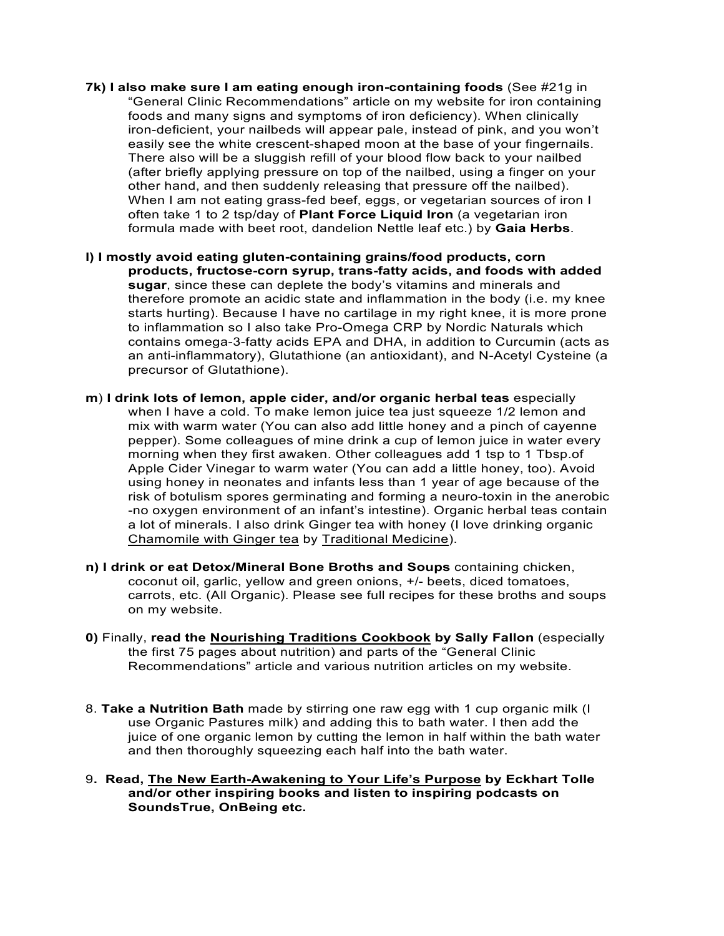- **7k) I also make sure I am eating enough iron-containing foods** (See #21g in "General Clinic Recommendations" article on my website for iron containing foods and many signs and symptoms of iron deficiency). When clinically iron-deficient, your nailbeds will appear pale, instead of pink, and you won't easily see the white crescent-shaped moon at the base of your fingernails. There also will be a sluggish refill of your blood flow back to your nailbed (after briefly applying pressure on top of the nailbed, using a finger on your other hand, and then suddenly releasing that pressure off the nailbed). When I am not eating grass-fed beef, eggs, or vegetarian sources of iron I often take 1 to 2 tsp/day of **Plant Force Liquid Iron** (a vegetarian iron formula made with beet root, dandelion Nettle leaf etc.) by **Gaia Herbs**.
- **l) I mostly avoid eating gluten-containing grains/food products, corn products, fructose-corn syrup, trans-fatty acids, and foods with added sugar**, since these can deplete the body's vitamins and minerals and therefore promote an acidic state and inflammation in the body (i.e. my knee starts hurting). Because I have no cartilage in my right knee, it is more prone to inflammation so I also take Pro-Omega CRP by Nordic Naturals which contains omega-3-fatty acids EPA and DHA, in addition to Curcumin (acts as an anti-inflammatory), Glutathione (an antioxidant), and N-Acetyl Cysteine (a precursor of Glutathione).
- **m**) **I drink lots of lemon, apple cider, and/or organic herbal teas** especially when I have a cold. To make lemon juice tea just squeeze 1/2 lemon and mix with warm water (You can also add little honey and a pinch of cayenne pepper). Some colleagues of mine drink a cup of lemon juice in water every morning when they first awaken. Other colleagues add 1 tsp to 1 Tbsp.of Apple Cider Vinegar to warm water (You can add a little honey, too). Avoid using honey in neonates and infants less than 1 year of age because of the risk of botulism spores germinating and forming a neuro-toxin in the anerobic -no oxygen environment of an infant's intestine). Organic herbal teas contain a lot of minerals. I also drink Ginger tea with honey (I love drinking organic Chamomile with Ginger tea by Traditional Medicine).
- **n) I drink or eat Detox/Mineral Bone Broths and Soups** containing chicken, coconut oil, garlic, yellow and green onions, +/- beets, diced tomatoes, carrots, etc. (All Organic). Please see full recipes for these broths and soups on my website.
- **0)** Finally, **read the Nourishing Traditions Cookbook by Sally Fallon** (especially the first 75 pages about nutrition) and parts of the "General Clinic Recommendations" article and various nutrition articles on my website.
- 8. **Take a Nutrition Bath** made by stirring one raw egg with 1 cup organic milk (I use Organic Pastures milk) and adding this to bath water. I then add the juice of one organic lemon by cutting the lemon in half within the bath water and then thoroughly squeezing each half into the bath water.
- 9**. Read, The New Earth-Awakening to Your Life's Purpose by Eckhart Tolle and/or other inspiring books and listen to inspiring podcasts on SoundsTrue, OnBeing etc.**